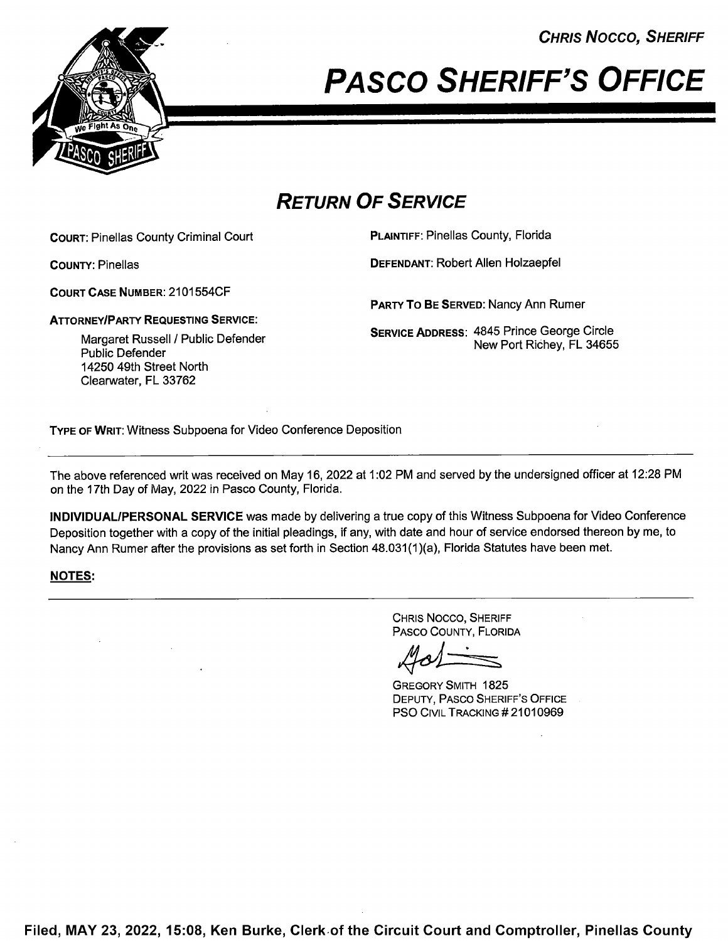CHRIS Nocco, SHERIFF



# **PASCO SHERIFF'S OFFICE**

## RETURN OF SERVICE

COURT: Pinellas County Criminal Court PLAINTIFF: Pinellas County, Florida

COURT CASE NUMBER: 2101 554CF

ATTORNEY/PARTY REQUESTING SERVICE:

Margaret Russell / Public Defender Public Defender 14250 49th Street North Clearwater, FL 33762

COUNTY: Pinellas DEFENDANT: Robert Allen Holzaepfel

PARTY To BE SERVED: Nancy Ann Rumer

SERVICE ADDRESS: 4845 Prince George Circle New Port Richey, FL 34655

TYPE 0F WRIT: Witness Subpoena for Video Conference Deposition

The above referenced writ was received on May 16, 2022 at 1:02 PM and served by the undersigned officer at 12:28 PM on the 17th Day of May, 2022 in Pasco County, Florida.

INDIVIDUAL/PERSONAL SERVICE was made by delivering a true copy of this Witness Subpoena for Video Conference Deposition together with a copy of the initial pleadings, if any, with date and hour of service endorsed thereon by me, to Nancy Ann Rumer after the provisions as set forth in Section 48.031(1 )(a), Florida Statutes have been met.

## NOTES:

CHRIS Nocco, SHERIFF PAsco COUNTY, FLORIDA

GREGORY SMITH 1825 DEPUTY, PAsco SHERIFF'S OFFICE PSO CIVIL TRACKING #21010969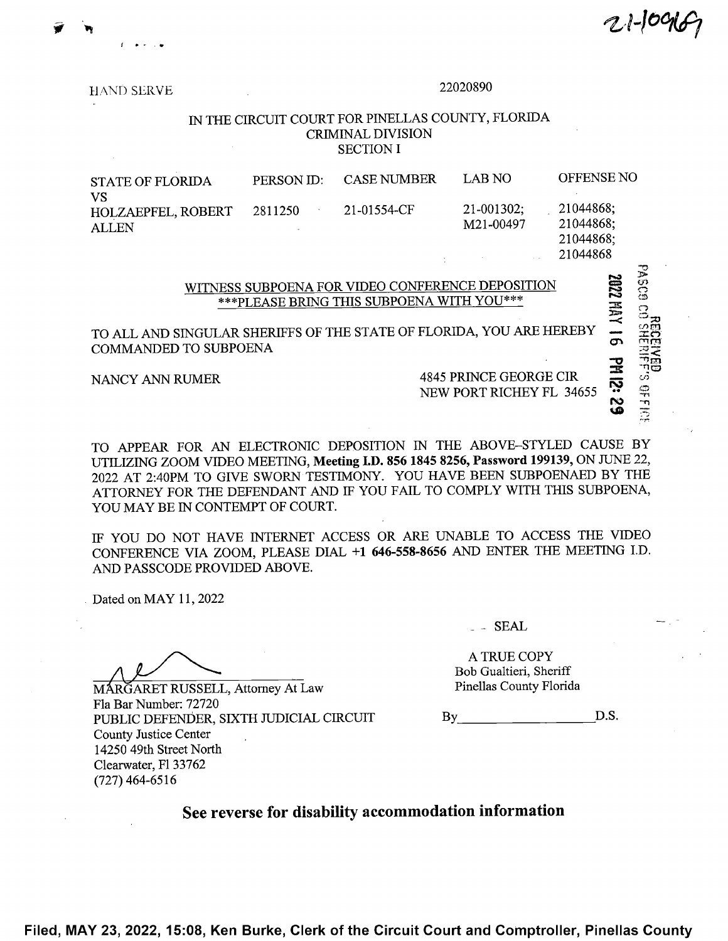w 21-109167

**15**°39 FERMI

 $\sim$  .  $\sim$   $\sim$ 

HAND SERVE <sup>22020890</sup>

### IN THE CIRCUIT COURT FOR PINELLAS COUNTY, FLORIDA CRIMINAL DIVISION **SECTION I**

| <b>STATE OF FLORIDA</b>                         | PERSON ID: | <b>CASE NUMBER</b> | LAB NO                    | OFFENSE NO                          |
|-------------------------------------------------|------------|--------------------|---------------------------|-------------------------------------|
| VS<br><b>HOLZAEPFEL, ROBERT</b><br><b>ALLEN</b> | 2811250    | 21-01554-CF        | $21-001302;$<br>M21-00497 | 21044868;<br>21044868;<br>21044868; |
|                                                 |            |                    |                           | 21044868                            |

WITNESS SUBPOENA FOR VIDEO CONFERENCE DEPOSITION<br>
\*\*\*PLEASE BRING THIS SUBPOENA WITH YOU\*\*\*<br>
NGULAR SHERIFFS OF THE STATE OF FLORIDA, YOU ARE HEREBY<br>
TO SUBPOENA \*\*\*PLEASE BRING THIS SUBPOENA WITH YOU\*\*\*<br>AR SHERIFFS OF THE STATE OF FLORIDA, YOU ARE HEREBY TO ALL AND SINGULAR SHERIFFS OF THE STATE OF FLORIDA, YOU ARE HEREBY  $\overline{\sigma}$   $\overline{\mathcal{Z}}$ 

NANCY ANN RUMER 4845 PRINCE GEORGE CIR<br>NEW PORT RICHEY FL 34655

TO APPEAR FOR AN ELECTRONIC DEPOSITION IN THE ABOVE—STYLED CAUSE BY UTILIZING ZOOM VIDEO MEETING, Meeting I.D. <sup>856</sup> <sup>1845</sup> 8256, Password 199139, ON JUNE 22, <sup>2022</sup> AT 2:40PM TO GIVE SWORN TESTIMONY. YOU HAVE BEEN SUBPOENAED BY THE ATTORNEY FOR THE DEFENDANT AND IF YOU FAIL TO COMPLY WITH THIS SUBPOENA, YOU MAY BE IN CONTEMPT OF COURT.

IF YOU DO NOT HAVE INTERNET ACCESS OR ARE UNABLE TO ACCESS THE VIDEO CONFERENCE VIA ZOOM, PLEASE DIAL +1 646-558-8656 AND ENTER THE MEETING I.D. AND PASSCODE PROVIDED ABOVE.

. Dated 0n MAY 11, <sup>2022</sup>

Fla Bar Number: 72720 PUBLIC DEFENDER, SIXTH JUDICIAL CIRCUIT By BY D.S. County Justice Center 14250 49th Street North Clearwater, F1 33762 (727) 464-6516

- SEAL

A TRUE COPY<br>
Bob Gualtieri, Sheriff<br>
Pinellas County Florida MARGARET RUSSELL, Attorney At Law Bob Gualtieri, Sheriff Pinellas County Florida

See reverse for disability accommodation information

Filed, MAY 23, 2022, 15:08, Ken Burke, Clerk of the Circuit Court and Comptroller, Pinellas County